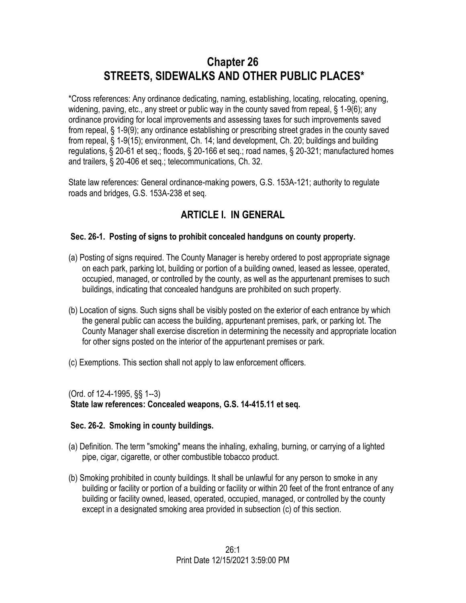# **Chapter 26 STREETS, SIDEWALKS AND OTHER PUBLIC PLACES\***

\*Cross references: Any ordinance dedicating, naming, establishing, locating, relocating, opening, widening, paving, etc., any street or public way in the county saved from repeal, § 1-9(6); any ordinance providing for local improvements and assessing taxes for such improvements saved from repeal, § 1-9(9); any ordinance establishing or prescribing street grades in the county saved from repeal, § 1-9(15); environment, Ch. 14; land development, Ch. 20; buildings and building regulations, § 20-61 et seq.; floods, § 20-166 et seq.; road names, § 20-321; manufactured homes and trailers, § 20-406 et seq.; telecommunications, Ch. 32.

State law references: General ordinance-making powers, G.S. 153A-121; authority to regulate roads and bridges, G.S. 153A-238 et seq.

# **ARTICLE I. IN GENERAL**

# **Sec. 26-1. Posting of signs to prohibit concealed handguns on county property.**

- (a) Posting of signs required. The County Manager is hereby ordered to post appropriate signage on each park, parking lot, building or portion of a building owned, leased as lessee, operated, occupied, managed, or controlled by the county, as well as the appurtenant premises to such buildings, indicating that concealed handguns are prohibited on such property.
- (b) Location of signs. Such signs shall be visibly posted on the exterior of each entrance by which the general public can access the building, appurtenant premises, park, or parking lot. The County Manager shall exercise discretion in determining the necessity and appropriate location for other signs posted on the interior of the appurtenant premises or park.
- (c) Exemptions. This section shall not apply to law enforcement officers.

(Ord. of 12-4-1995, §§ 1--3)

**State law references: Concealed weapons, G.S. 14-415.11 et seq.** 

# **Sec. 26-2. Smoking in county buildings.**

- (a) Definition. The term "smoking" means the inhaling, exhaling, burning, or carrying of a lighted pipe, cigar, cigarette, or other combustible tobacco product.
- (b) Smoking prohibited in county buildings. It shall be unlawful for any person to smoke in any building or facility or portion of a building or facility or within 20 feet of the front entrance of any building or facility owned, leased, operated, occupied, managed, or controlled by the county except in a designated smoking area provided in subsection (c) of this section.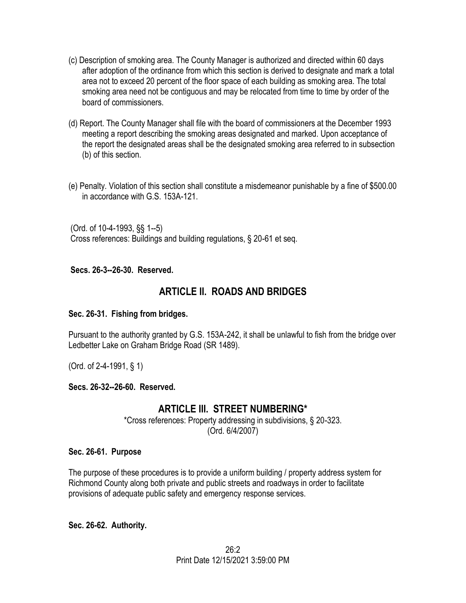- (c) Description of smoking area. The County Manager is authorized and directed within 60 days after adoption of the ordinance from which this section is derived to designate and mark a total area not to exceed 20 percent of the floor space of each building as smoking area. The total smoking area need not be contiguous and may be relocated from time to time by order of the board of commissioners.
- (d) Report. The County Manager shall file with the board of commissioners at the December 1993 meeting a report describing the smoking areas designated and marked. Upon acceptance of the report the designated areas shall be the designated smoking area referred to in subsection (b) of this section.
- (e) Penalty. Violation of this section shall constitute a misdemeanor punishable by a fine of \$500.00 in accordance with G.S. 153A-121.

(Ord. of 10-4-1993, §§ 1--5) Cross references: Buildings and building regulations, § 20-61 et seq.

#### **Secs. 26-3--26-30. Reserved.**

# **ARTICLE II. ROADS AND BRIDGES**

#### **Sec. 26-31. Fishing from bridges.**

Pursuant to the authority granted by G.S. 153A-242, it shall be unlawful to fish from the bridge over Ledbetter Lake on Graham Bridge Road (SR 1489).

(Ord. of 2-4-1991, § 1)

#### **Secs. 26-32--26-60. Reserved.**

# **ARTICLE III. STREET NUMBERING\***

\*Cross references: Property addressing in subdivisions, § 20-323. (Ord. 6/4/2007)

#### **Sec. 26-61. Purpose**

The purpose of these procedures is to provide a uniform building / property address system for Richmond County along both private and public streets and roadways in order to facilitate provisions of adequate public safety and emergency response services.

**Sec. 26-62. Authority.**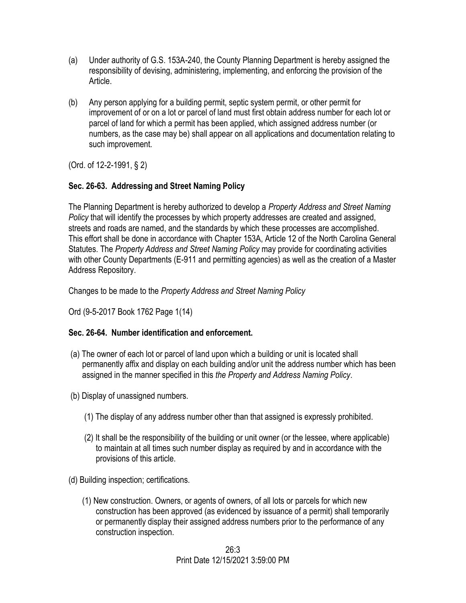- (a) Under authority of G.S. 153A-240, the County Planning Department is hereby assigned the responsibility of devising, administering, implementing, and enforcing the provision of the Article.
- (b) Any person applying for a building permit, septic system permit, or other permit for improvement of or on a lot or parcel of land must first obtain address number for each lot or parcel of land for which a permit has been applied, which assigned address number (or numbers, as the case may be) shall appear on all applications and documentation relating to such improvement.

(Ord. of 12-2-1991, § 2)

# **Sec. 26-63. Addressing and Street Naming Policy**

The Planning Department is hereby authorized to develop a *Property Address and Street Naming Policy* that will identify the processes by which property addresses are created and assigned, streets and roads are named, and the standards by which these processes are accomplished. This effort shall be done in accordance with Chapter 153A, Article 12 of the North Carolina General Statutes. The *Property Address and Street Naming Policy* may provide for coordinating activities with other County Departments (E-911 and permitting agencies) as well as the creation of a Master Address Repository.

Changes to be made to the *Property Address and Street Naming Policy*

Ord (9-5-2017 Book 1762 Page 1(14)

# **Sec. 26-64. Number identification and enforcement.**

- (a) The owner of each lot or parcel of land upon which a building or unit is located shall permanently affix and display on each building and/or unit the address number which has been assigned in the manner specified in this *the Property and Address Naming Policy*.
- (b) Display of unassigned numbers.
	- (1) The display of any address number other than that assigned is expressly prohibited.
	- (2) It shall be the responsibility of the building or unit owner (or the lessee, where applicable) to maintain at all times such number display as required by and in accordance with the provisions of this article.
- (d) Building inspection; certifications.
	- (1) New construction. Owners, or agents of owners, of all lots or parcels for which new construction has been approved (as evidenced by issuance of a permit) shall temporarily or permanently display their assigned address numbers prior to the performance of any construction inspection.